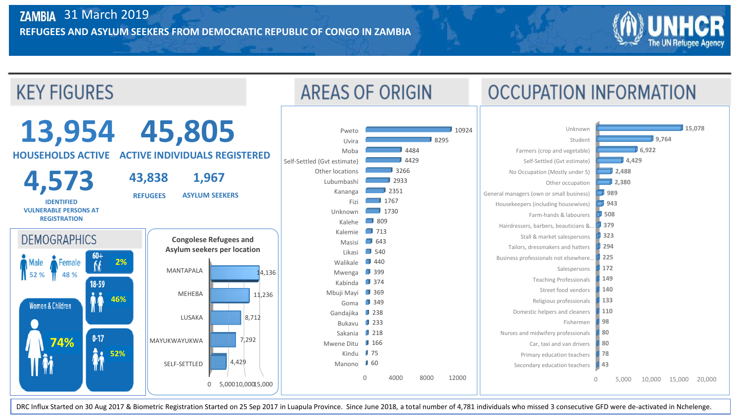

DRC Influx Started on 30 Aug 2017 & Biometric Registration Started on 25 Sep 2017 in Luapula Province. Since June 2018, a total number of 4,781 individuals who missed 3 consecutive GFD were de-activated in Nchelenge.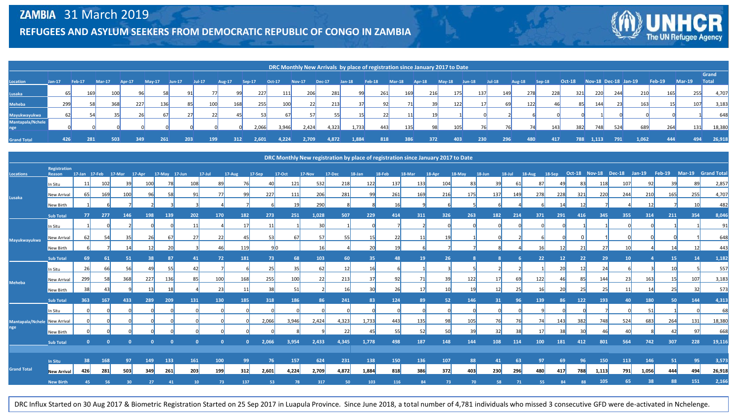

|                    |          |               |               |                |          |          |          |               |               | DRC Monthly New Arrivals by place of registration since January 2017 to Date |               |               |          |               |        |               |          |           |          |               |          |               |            |     |                        |               |          |              |
|--------------------|----------|---------------|---------------|----------------|----------|----------|----------|---------------|---------------|------------------------------------------------------------------------------|---------------|---------------|----------|---------------|--------|---------------|----------|-----------|----------|---------------|----------|---------------|------------|-----|------------------------|---------------|----------|--------------|
|                    |          |               |               |                |          |          |          |               |               |                                                                              |               |               |          |               |        |               |          |           |          |               |          |               |            |     |                        |               |          | Grand        |
| Location           | $Jan-17$ | <b>Feb-17</b> | <b>Mar-17</b> | <b>Apr-17</b>  | $Mav-17$ | $Jun-17$ | $Jul-17$ | <b>Aug-17</b> | <b>Sep-17</b> | Oct-17                                                                       | <b>Nov-17</b> | <b>Dec-17</b> | $Jan-18$ | <b>Feb-18</b> | Mar-18 | <b>Apr-18</b> | $May-18$ | $Jun-18$  | $Jul-18$ | <b>Aug-18</b> | $Sep-18$ | <b>Oct-18</b> |            |     | Nov-18 Dec-18 Jan-19   | <b>Feb-19</b> | $Mar-19$ | <b>Total</b> |
| Lusaka             | 65       | 169           | 100           | Q <sub>6</sub> | 58       | 91       |          | <b>99</b>     | 227           | 111                                                                          | 206           | 281           | 99       | 261           | 169    | 216           | 175      | 137       | 149      | 278           | 228      |               | 321<br>220 | 244 | 210                    | 165           | 255      | 4,707        |
| Meheba             | 299      |               | 368           | 227            | 136      | 85       | 100      | 168           | 255           | 100                                                                          | 22            | 213           |          | 92            |        | 39            | 122      |           | 69       | 122           |          | 46            | 85<br>144  |     | 163<br>23 <sup>1</sup> |               | 107      | 3,183        |
| Mayukwayukwa       | 62       | 54            | 35            | 26             | 67       | 27       |          | 22<br>45      |               | 671                                                                          | 57            | 55            |          | 22            | 11     |               |          |           |          |               |          |               |            |     |                        |               |          | 648          |
| Mantapala/Nchele   |          |               |               |                |          |          |          |               | 2,066         | 3,946                                                                        | 2,424         | 4,323         | 1,733    | 443           | 135    | 98            | 105      | <b>76</b> | 76       |               | 143      | 382           | 748        | 524 | 689                    | 264           | 131      | 18,380       |
| <b>Grand Total</b> | 426      | 281           | 503           | 349            | 261      | 203      | 199      | 312           | 2.601         | 4,224                                                                        | 2,709         | 4,872         | 1,884    | 818           | 386    | 372           | 403      | 230       | 296      | 480           | 417      |               | 788 1,113  | 791 | 1,062                  | 444           | 494      | 26,918       |

|                              |                     |          |           |                             |                 |               |            |            |        |                |        | DRC Monthly New registration by place of registration since January 2017 to Date |        |                 |                |        |        |        |            |           |          |           |     |                             |     |       |                 |                   |        |
|------------------------------|---------------------|----------|-----------|-----------------------------|-----------------|---------------|------------|------------|--------|----------------|--------|----------------------------------------------------------------------------------|--------|-----------------|----------------|--------|--------|--------|------------|-----------|----------|-----------|-----|-----------------------------|-----|-------|-----------------|-------------------|--------|
|                              | <b>Registration</b> |          |           |                             |                 |               |            |            |        |                |        |                                                                                  |        |                 |                |        |        |        |            |           |          |           |     | Oct-18 Nov-18 Dec-18 Jan-19 |     |       | <b>Feb-19</b>   | Mar-19 Grand Tota |        |
| <b>Locations</b><br>Lusaka   | Reason              |          |           | 17-Jan 17-Feb 17-Mar 17-Apr |                 | 17-May 17-Jun |            | $17 -$ Jul | 17-Aug | 17-Sep         | 17-Oct | 17-Nov                                                                           | 17-Dec | $18$ -Jan       | 18-Feb         | 18-Mar | 18-Apr | 18-May | $18 - Jun$ | $18$ -Jul | $18-Aug$ | 18-Sep    |     |                             |     |       |                 |                   |        |
|                              | In Situ             | 11       | 102       | <b>39</b>                   | 100             | 78            | 108        | 89         | 76     | 40             | 121    | 532                                                                              | 218    | 122             | 137            | 133    | 104    | 83     | 39         | 61        | 87       | 49        | 83  | 118                         | 107 | 92    | 39              | -89               | 2,857  |
|                              | New Arrival         | 65       | 169       | 100                         | 96              | 58            | 91         | 77         | 99     | 227            | 111    | 206                                                                              | 281    | 99              | 261            | 169    | 216    | 175    | 137        | 149       | 278      | 228       | 321 | 220                         | 244 | 210   | 165             | 255               | 4,707  |
|                              | New Birth           |          |           |                             |                 |               |            |            |        |                | 19     | 290                                                                              |        |                 | 16             |        |        |        |            |           |          | 14        |     |                             |     | 12    |                 | 10                | 482    |
|                              | <b>Sub Total</b>    | 77       | 277       | 146                         | 198             | 139           | 202        | 170        | 182    | 273            | 251    | 1,028                                                                            | 507    | 229             | 414            | 311    | 326    | 263    | 182        | 214       | 371      | 291       | 416 | 345                         | 355 | 314   | 211             | 354               | 8,046  |
| Mayukwayukwa                 | In Situ             |          |           |                             |                 |               | 11         |            | 17     | 11             |        | 30                                                                               |        |                 |                |        |        |        |            |           |          |           |     |                             |     |       |                 |                   | 9'     |
|                              | New Arrival         | 62       | 54        | 35                          | <b>26</b>       | 67            | 27         | 22         | 45     | 53             | 67     | 57                                                                               | 55     | <b>15</b>       | 22             | 11     | 19     |        |            |           |          |           |     |                             |     |       |                 |                   | 648    |
|                              | New Birth           |          |           |                             |                 |               |            |            | 119    | 9 <sub>0</sub> |        | 16                                                                               |        |                 | 1 <sup>c</sup> |        |        |        |            |           |          |           | 21  |                             |     |       |                 |                   | 443    |
|                              | <b>Sub Total</b>    | 69       | -61       | 51                          |                 | 87            | 41         | 72         | 181    | 73             | 68     | 103                                                                              | 60     | 35              | 48             | 19     | 26     |        |            |           | 22       | 12        | 22  |                             | 10  |       | 15              | 14                | 1,182  |
|                              | In Situ             | 26       | 66        | 56                          | 49              | 55            |            |            |        | 25             | 35     | 62                                                                               | 12     | 16              |                |        |        |        |            |           |          | <b>20</b> | 12  | 24                          |     |       |                 |                   | 557    |
|                              | New Arrival         | 299      | <b>58</b> | 368                         | 227             | 136           | 85         | 100        | 168    | 255            | 100    | 22                                                                               | 213    | 37              | 92             | 71     | 39     | 122    | 17         | <b>69</b> | 122      | 46        | 85  | 144                         | 23  | 163   | 15 <sup>l</sup> | 107               | 3,183  |
| <b>Meheba</b>                | New Birth           | 38       | 43        |                             | 13 <sup>1</sup> |               |            | 23         | 11     | 38             | 51     |                                                                                  | 16     | 30 <sup>°</sup> | 26             | 17     |        | 19     |            | 25        |          |           | 25  | 25                          | 11  |       |                 | 32                | 573    |
|                              | <b>Sub Total</b>    | 363      | 167       | 433                         | 289             | 209           | 131        | 130        | 185    | 318            | 186    | 86                                                                               | 241    | 83              | 124            | 89     | 52     | 146    | 31         | 96        | 139      | 86        | 122 | 193                         | 40  | 180   | 50              | 144               | 4,313  |
|                              | In Situ             |          |           |                             |                 |               |            |            |        |                |        |                                                                                  |        |                 |                |        |        |        |            |           |          |           |     |                             |     | 51    |                 |                   | 68     |
|                              |                     |          |           |                             |                 |               |            |            |        | 2,066          | 3,946  | 2,424                                                                            | 4,323  | 1,733           | 443            | 135    | 98     | 105    | 76         |           | 74       | 143       | 382 | 748                         | 524 | 683   | 264             | 131               | 18,380 |
| Mantapala/Nchele New Arrival |                     |          |           |                             |                 |               |            |            |        |                |        |                                                                                  | 22     |                 | 55             | 52     | 50     | 39     | 32         | 38        |          |           |     |                             |     |       |                 | Q <sub>7</sub>    | 668    |
|                              | New Birth           |          |           |                             |                 |               |            |            |        |                |        |                                                                                  |        |                 |                |        |        |        |            |           |          |           |     |                             |     |       |                 |                   |        |
|                              | <b>Sub Total</b>    | $\Omega$ |           | $\Omega$                    |                 |               | $\sqrt{2}$ | $\Omega$   |        | 2,066          | 3,954  | 2,433                                                                            | 4,345  | 1,778           | 498            | 187    | 148    | 144    | 108        | 114       | 100      | 181       | 412 | 801                         | 564 | 742   | 307             | 228               | 19,11  |
|                              | In Situ             | 38       | 168       | 97                          | 149             | 133           | 161        | 100        | 99     | 76             | 157    | 624                                                                              | 231    | 138             | 150            | 136    | 107    | 88     | 41         | 63        | 97       | 69        | 96  | 150                         | 113 | 146   | 51              | 95                | 3,573  |
| <b>Grand Total</b>           |                     |          |           |                             |                 |               |            |            |        |                |        |                                                                                  |        |                 |                |        |        |        | 230        |           | 480      |           |     |                             |     |       |                 | 494               |        |
|                              | New Arrival         | 426      | 281       | 503                         | 349             | 261           | 203        | 199        | 312    | 2,601          | 4,224  | 2,709                                                                            | 4,872  | 1,884           | 818            | 386    | 372    | 403    |            | 296       |          | 417       | 788 | 1,113                       | 791 | 1,056 | 444             |                   | 26,918 |
|                              | <b>New Birth</b>    | 45       |           |                             |                 |               | 10         | 73         | 137    | 53             | 78     | 317                                                                              | 50     | 103             | 116            | 84     | 73     | 70     |            |           |          |           |     | 105                         | 65  | 38    | 88              | 151               | 2,166  |

DRC Influx Started on 30 Aug 2017 & Biometric Registration Started on 25 Sep 2017 in Luapula Province. Since June 2018, a total number of 4,781 individuals who missed 3 consecutive GFD were de-activated in Nchelenge.